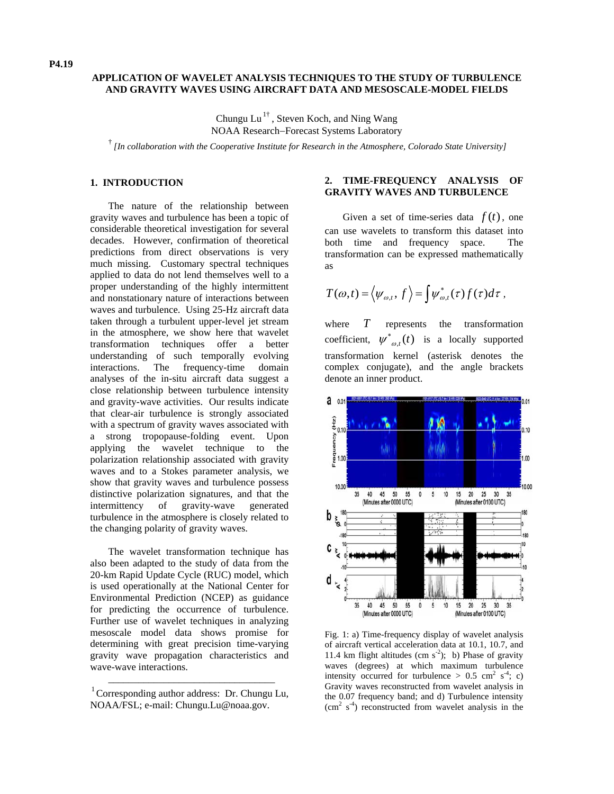# **APPLICATION OF WAVELET ANALYSIS TECHNIQUES TO THE STUDY OF TURBULENCE AND GRAVITY WAVES USING AIRCRAFT DATA AND MESOSCALE-MODEL FIELDS**

Chungu  $Lu^{1\dagger}$ , Steven Koch, and Ning Wang NOAA Research−Forecast Systems Laboratory

† *[In collaboration with the Cooperative Institute for Research in the Atmosphere, Colorado State University]*

#### **1. INTRODUCTION**

The nature of the relationship between gravity waves and turbulence has been a topic of considerable theoretical investigation for several decades. However, confirmation of theoretical predictions from direct observations is very much missing. Customary spectral techniques applied to data do not lend themselves well to a proper understanding of the highly intermittent and nonstationary nature of interactions between waves and turbulence. Using 25-Hz aircraft data taken through a turbulent upper-level jet stream in the atmosphere, we show here that wavelet transformation techniques offer a better understanding of such temporally evolving interactions. The frequency-time domain analyses of the in-situ aircraft data suggest a close relationship between turbulence intensity and gravity-wave activities. Our results indicate that clear-air turbulence is strongly associated with a spectrum of gravity waves associated with a strong tropopause-folding event. Upon applying the wavelet technique to the polarization relationship associated with gravity waves and to a Stokes parameter analysis, we show that gravity waves and turbulence possess distinctive polarization signatures, and that the intermittency of gravity-wave generated turbulence in the atmosphere is closely related to the changing polarity of gravity waves.

The wavelet transformation technique has also been adapted to the study of data from the 20-km Rapid Update Cycle (RUC) model, which is used operationally at the National Center for Environmental Prediction (NCEP) as guidance for predicting the occurrence of turbulence. Further use of wavelet techniques in analyzing mesoscale model data shows promise for determining with great precision time-varying gravity wave propagation characteristics and wave-wave interactions.

## **2. TIME-FREQUENCY ANALYSIS OF GRAVITY WAVES AND TURBULENCE**

Given a set of time-series data  $f(t)$ , one can use wavelets to transform this dataset into both time and frequency space. The transformation can be expressed mathematically as

$$
T(\omega,t) = \langle \psi_{\omega,t}, f \rangle = \int \psi_{\omega,t}^*(\tau) f(\tau) d\tau,
$$

where  $T$  represents the transformation coefficient,  $\psi^*_{\omega,t}(t)$  is a locally supported transformation kernel (asterisk denotes the complex conjugate), and the angle brackets denote an inner product. *T*



Fig. 1: a) Time-frequency display of wavelet analysis of aircraft vertical acceleration data at 10.1, 10.7, and 11.4 km flight altitudes (cm  $s^2$ ); b) Phase of gravity waves (degrees) at which maximum turbulence intensity occurred for turbulence  $> 0.5$  cm<sup>2</sup> s<sup>-4</sup>; c) Gravity waves reconstructed from wavelet analysis in the 0.07 frequency band; and d) Turbulence intensity  $\rm (cm^2 \ s^4)$  reconstructed from wavelet analysis in the

\_\_\_\_\_\_\_\_\_\_\_\_\_\_\_\_\_\_\_\_\_\_\_\_\_\_\_\_\_\_\_\_\_ 1 Corresponding author address: Dr. Chungu Lu, NOAA/FSL; e-mail: Chungu.Lu@noaa.gov.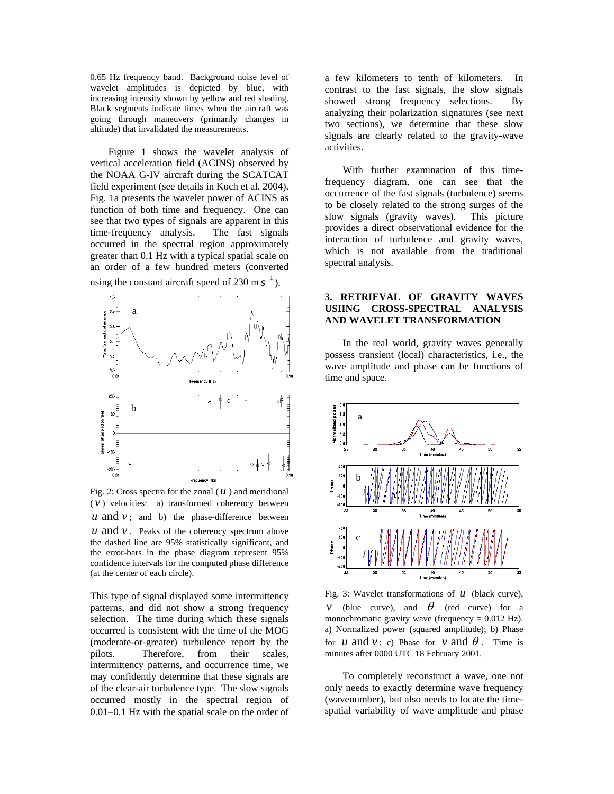0.65 Hz frequency band. Background noise level of wavelet amplitudes is depicted by blue, with increasing intensity shown by yellow and red shading. Black segments indicate times when the aircraft was going through maneuvers (primarily changes in altitude) that invalidated the measurements.

Figure 1 shows the wavelet analysis of vertical acceleration field (ACINS) observed by the NOAA G-IV aircraft during the SCATCAT field experiment (see details in Koch et al. 2004). Fig. 1a presents the wavelet power of ACINS as function of both time and frequency. One can see that two types of signals are apparent in this time-frequency analysis. The fast signals occurred in the spectral region approximately greater than 0.1 Hz with a typical spatial scale on an order of a few hundred meters (converted using the constant aircraft speed of  $230 \text{ m s}^{-1}$ ).



Fig. 2: Cross spectra for the zonal  $(u)$  and meridional  $(v)$  velocities: a) transformed coherency between  $u$  and  $v$ ; and b) the phase-difference between  $u$  and  $v$ . Peaks of the coherency spectrum above the dashed line are 95% statistically significant, and the error-bars in the phase diagram represent 95% confidence intervals for the computed phase difference (at the center of each circle).

This type of signal displayed some intermittency patterns, and did not show a strong frequency selection. The time during which these signals occurred is consistent with the time of the MOG (moderate-or-greater) turbulence report by the pilots. Therefore, from their scales, intermittency patterns, and occurrence time, we may confidently determine that these signals are of the clear-air turbulence type. The slow signals occurred mostly in the spectral region of 0.01−0.1 Hz with the spatial scale on the order of

a few kilometers to tenth of kilometers. In contrast to the fast signals, the slow signals showed strong frequency selections. By analyzing their polarization signatures (see next two sections), we determine that these slow signals are clearly related to the gravity-wave activities.

With further examination of this timefrequency diagram, one can see that the occurrence of the fast signals (turbulence) seems to be closely related to the strong surges of the slow signals (gravity waves). This picture provides a direct observational evidence for the interaction of turbulence and gravity waves, which is not available from the traditional spectral analysis.

## **3. RETRIEVAL OF GRAVITY WAVES USIING CROSS-SPECTRAL ANALYSIS AND WAVELET TRANSFORMATION**

In the real world, gravity waves generally possess transient (local) characteristics, i.e., the wave amplitude and phase can be functions of time and space.



Fig. 3: Wavelet transformations of *u* (black curve), *v* (blue curve), and  $\theta$  (red curve) for a monochromatic gravity wave (frequency  $= 0.012$  Hz). a) Normalized power (squared amplitude); b) Phase for *u* and *v*; c) Phase for *v* and  $\theta$ . Time is minutes after 0000 UTC 18 February 2001.

To completely reconstruct a wave, one not only needs to exactly determine wave frequency (wavenumber), but also needs to locate the timespatial variability of wave amplitude and phase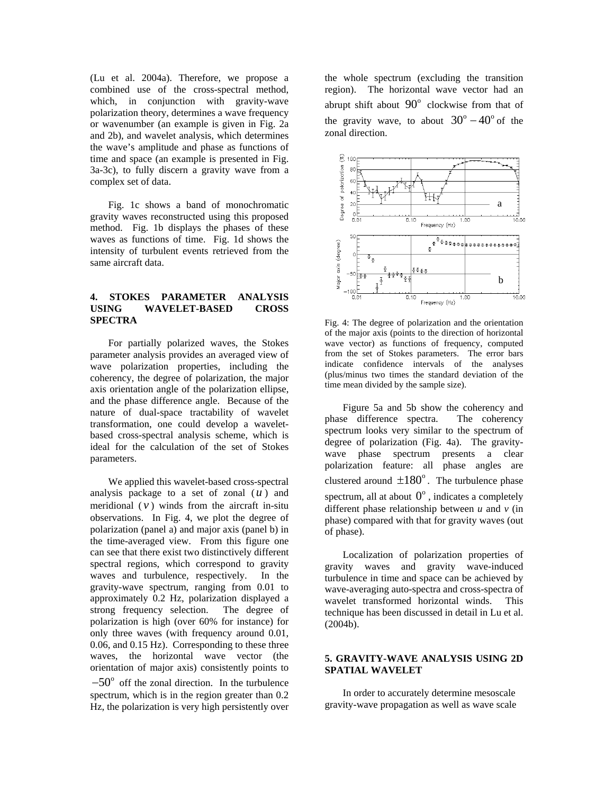(Lu et al. 2004a). Therefore, we propose a combined use of the cross-spectral method, which, in conjunction with gravity-wave polarization theory, determines a wave frequency or wavenumber (an example is given in Fig. 2a and 2b), and wavelet analysis, which determines the wave's amplitude and phase as functions of time and space (an example is presented in Fig. 3a-3c), to fully discern a gravity wave from a complex set of data.

Fig. 1c shows a band of monochromatic gravity waves reconstructed using this proposed method. Fig. 1b displays the phases of these waves as functions of time. Fig. 1d shows the intensity of turbulent events retrieved from the same aircraft data.

# **4. STOKES PARAMETER ANALYSIS USING WAVELET-BASED CROSS SPECTRA**

For partially polarized waves, the Stokes parameter analysis provides an averaged view of wave polarization properties, including the coherency, the degree of polarization, the major axis orientation angle of the polarization ellipse, and the phase difference angle. Because of the nature of dual-space tractability of wavelet transformation, one could develop a waveletbased cross-spectral analysis scheme, which is ideal for the calculation of the set of Stokes parameters.

We applied this wavelet-based cross-spectral analysis package to a set of zonal  $(u)$  and meridional  $(v)$  winds from the aircraft in-situ observations. In Fig. 4, we plot the degree of polarization (panel a) and major axis (panel b) in the time-averaged view. From this figure one can see that there exist two distinctively different spectral regions, which correspond to gravity waves and turbulence, respectively. In the gravity-wave spectrum, ranging from 0.01 to approximately 0.2 Hz, polarization displayed a strong frequency selection. The degree of polarization is high (over 60% for instance) for only three waves (with frequency around 0.01, 0.06, and 0.15 Hz). Corresponding to these three waves, the horizontal wave vector (the orientation of major axis) consistently points to

 $-50^{\circ}$  off the zonal direction. In the turbulence spectrum, which is in the region greater than 0.2 Hz, the polarization is very high persistently over

the whole spectrum (excluding the transition region). The horizontal wave vector had an abrupt shift about  $90^\circ$  clockwise from that of the gravity wave, to about  $30^{\circ} - 40^{\circ}$  of the zonal direction.



Fig. 4: The degree of polarization and the orientation of the major axis (points to the direction of horizontal wave vector) as functions of frequency, computed from the set of Stokes parameters. The error bars indicate confidence intervals of the analyses (plus/minus two times the standard deviation of the time mean divided by the sample size).

Figure 5a and 5b show the coherency and phase difference spectra. The coherency spectrum looks very similar to the spectrum of degree of polarization (Fig. 4a). The gravitywave phase spectrum presents a clear polarization feature: all phase angles are clustered around  $\pm 180^\circ$ . The turbulence phase clustered around  $\pm 180^\circ$ . The turbulence phase<br>spectrum, all at about  $0^\circ$ , indicates a completely different phase relationship between *u* and *v* (in phase) compared with that for gravity waves (out of phase).

Localization of polarization properties of gravity waves and gravity wave-induced turbulence in time and space can be achieved by wave-averaging auto-spectra and cross-spectra of wavelet transformed horizontal winds. This technique has been discussed in detail in Lu et al. (2004b).

## **5. GRAVITY-WAVE ANALYSIS USING 2D SPATIAL WAVELET**

In order to accurately determine mesoscale gravity-wave propagation as well as wave scale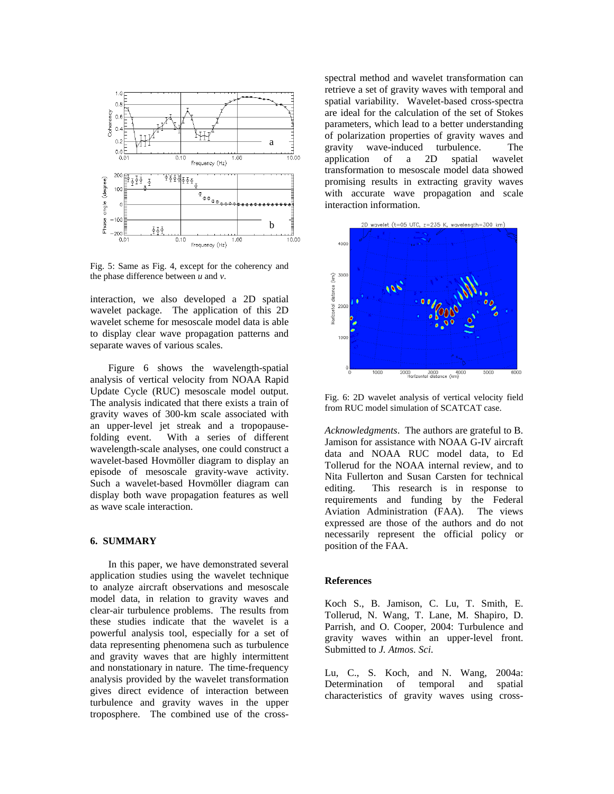

Fig. 5: Same as Fig. 4, except for the coherency and the phase difference between *u* and *v*.

interaction, we also developed a 2D spatial wavelet package. The application of this 2D wavelet scheme for mesoscale model data is able to display clear wave propagation patterns and separate waves of various scales.

Figure 6 shows the wavelength-spatial analysis of vertical velocity from NOAA Rapid Update Cycle (RUC) mesoscale model output. The analysis indicated that there exists a train of gravity waves of 300-km scale associated with an upper-level jet streak and a tropopausefolding event. With a series of different wavelength-scale analyses, one could construct a wavelet-based Hovmöller diagram to display an episode of mesoscale gravity-wave activity. Such a wavelet-based Hovmöller diagram can display both wave propagation features as well as wave scale interaction.

## **6. SUMMARY**

In this paper, we have demonstrated several application studies using the wavelet technique to analyze aircraft observations and mesoscale model data, in relation to gravity waves and clear-air turbulence problems. The results from these studies indicate that the wavelet is a powerful analysis tool, especially for a set of data representing phenomena such as turbulence and gravity waves that are highly intermittent and nonstationary in nature. The time-frequency analysis provided by the wavelet transformation gives direct evidence of interaction between turbulence and gravity waves in the upper troposphere. The combined use of the crossspectral method and wavelet transformation can retrieve a set of gravity waves with temporal and spatial variability. Wavelet-based cross-spectra are ideal for the calculation of the set of Stokes parameters, which lead to a better understanding of polarization properties of gravity waves and gravity wave-induced turbulence. The application of a 2D spatial wavelet transformation to mesoscale model data showed promising results in extracting gravity waves with accurate wave propagation and scale interaction information.



Fig. 6: 2D wavelet analysis of vertical velocity field from RUC model simulation of SCATCAT case.

*Acknowledgments*. The authors are grateful to B. Jamison for assistance with NOAA G-IV aircraft data and NOAA RUC model data, to Ed Tollerud for the NOAA internal review, and to Nita Fullerton and Susan Carsten for technical editing. This research is in response to requirements and funding by the Federal Aviation Administration (FAA). The views expressed are those of the authors and do not necessarily represent the official policy or position of the FAA.

#### **References**

Koch S., B. Jamison, C. Lu, T. Smith, E. Tollerud, N. Wang, T. Lane, M. Shapiro, D. Parrish, and O. Cooper, 2004: Turbulence and gravity waves within an upper-level front. Submitted to *J. Atmos. Sci*.

Lu, C., S. Koch, and N. Wang, 2004a: Determination of temporal and spatial characteristics of gravity waves using cross-